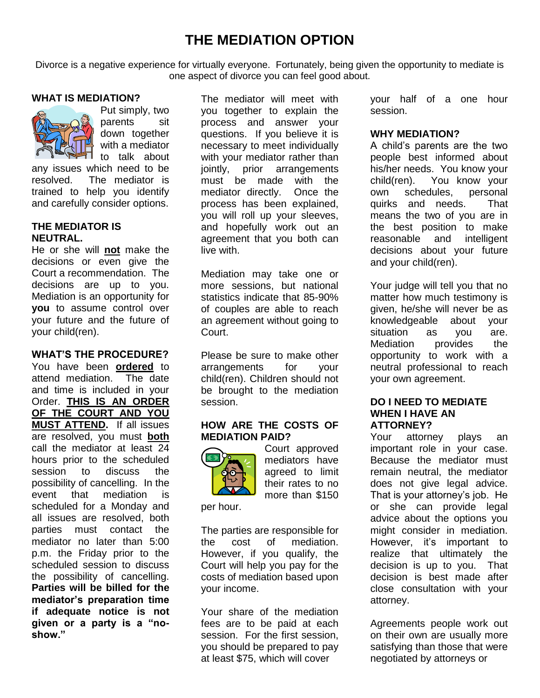# **THE MEDIATION OPTION**

Divorce is a negative experience for virtually everyone. Fortunately, being given the opportunity to mediate is one aspect of divorce you can feel good about.

# **WHAT IS MEDIATION?**



Put simply, two parents sit down together with a mediator to talk about

any issues which need to be resolved. The mediator is trained to help you identify and carefully consider options.

## **THE MEDIATOR IS NEUTRAL.**

He or she will **not** make the decisions or even give the Court a recommendation. The decisions are up to you. Mediation is an opportunity for **you** to assume control over your future and the future of your child(ren).

#### **WHAT'S THE PROCEDURE?**

You have been **ordered** to attend mediation. The date and time is included in your Order. **THIS IS AN ORDER OF THE COURT AND YOU MUST ATTEND.** If all issues are resolved, you must **both** call the mediator at least 24 hours prior to the scheduled session to discuss the possibility of cancelling. In the event that mediation is scheduled for a Monday and all issues are resolved, both parties must contact the mediator no later than 5:00 p.m. the Friday prior to the scheduled session to discuss the possibility of cancelling. **Parties will be billed for the mediator's preparation time if adequate notice is not given or a party is a "noshow."**

The mediator will meet with you together to explain the process and answer your questions. If you believe it is necessary to meet individually with your mediator rather than jointly, prior arrangements must be made with the mediator directly. Once the process has been explained, you will roll up your sleeves, and hopefully work out an agreement that you both can live with.

Mediation may take one or more sessions, but national statistics indicate that 85-90% of couples are able to reach an agreement without going to Court.

Please be sure to make other arrangements for your child(ren). Children should not be brought to the mediation session.

## **HOW ARE THE COSTS OF MEDIATION PAID?**



Court approved mediators have agreed to limit their rates to no more than \$150

per hour.

The parties are responsible for the cost of mediation. However, if you qualify, the Court will help you pay for the costs of mediation based upon your income.

Your share of the mediation fees are to be paid at each session. For the first session, you should be prepared to pay at least \$75, which will cover

your half of a one hour session.

## **WHY MEDIATION?**

A child's parents are the two people best informed about his/her needs. You know your child(ren). You know your own schedules, personal quirks and needs. That means the two of you are in the best position to make reasonable and intelligent decisions about your future and your child(ren).

Your judge will tell you that no matter how much testimony is given, he/she will never be as knowledgeable about your situation as you are. Mediation provides the opportunity to work with a neutral professional to reach your own agreement.

#### **DO I NEED TO MEDIATE WHEN I HAVE AN ATTORNEY?**

Your attorney plays an important role in your case. Because the mediator must remain neutral, the mediator does not give legal advice. That is your attorney's job. He or she can provide legal advice about the options you might consider in mediation. However, it's important to realize that ultimately the decision is up to you. That decision is best made after close consultation with your attorney.

Agreements people work out on their own are usually more satisfying than those that were negotiated by attorneys or